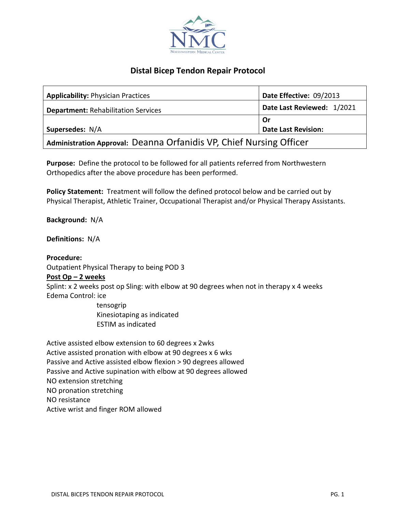

# **Distal Bicep Tendon Repair Protocol**

| <b>Applicability: Physician Practices</b>                           | Date Effective: 09/2013    |
|---------------------------------------------------------------------|----------------------------|
| <b>Department: Rehabilitation Services</b>                          | Date Last Reviewed: 1/2021 |
|                                                                     | . Or                       |
| Supersedes: N/A                                                     | <b>Date Last Revision:</b> |
| Administration Approval: Deanna Orfanidis VP, Chief Nursing Officer |                            |

**Purpose:** Define the protocol to be followed for all patients referred from Northwestern Orthopedics after the above procedure has been performed.

**Policy Statement:** Treatment will follow the defined protocol below and be carried out by Physical Therapist, Athletic Trainer, Occupational Therapist and/or Physical Therapy Assistants.

**Background:** N/A

**Definitions:** N/A

**Procedure:** Outpatient Physical Therapy to being POD 3

# **Post Op – 2 weeks**

Splint: x 2 weeks post op Sling: with elbow at 90 degrees when not in therapy x 4 weeks Edema Control: ice

> tensogrip Kinesiotaping as indicated ESTIM as indicated

Active assisted elbow extension to 60 degrees x 2wks Active assisted pronation with elbow at 90 degrees x 6 wks Passive and Active assisted elbow flexion > 90 degrees allowed Passive and Active supination with elbow at 90 degrees allowed NO extension stretching NO pronation stretching NO resistance Active wrist and finger ROM allowed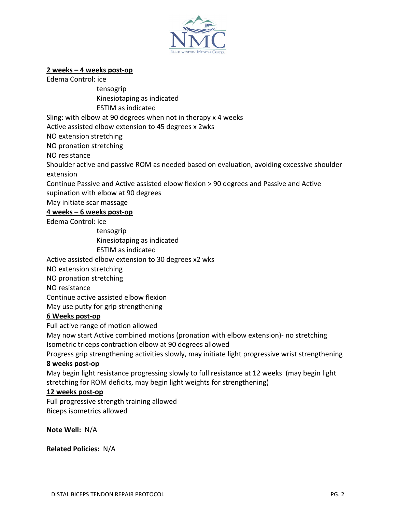

# **2 weeks – 4 weeks post-op**

Edema Control: ice

 tensogrip Kinesiotaping as indicated

ESTIM as indicated

Sling: with elbow at 90 degrees when not in therapy x 4 weeks

Active assisted elbow extension to 45 degrees x 2wks

NO extension stretching

NO pronation stretching

NO resistance

Shoulder active and passive ROM as needed based on evaluation, avoiding excessive shoulder extension

Continue Passive and Active assisted elbow flexion > 90 degrees and Passive and Active supination with elbow at 90 degrees

May initiate scar massage

**4 weeks – 6 weeks post-op**

Edema Control: ice

tensogrip

Kinesiotaping as indicated

ESTIM as indicated

Active assisted elbow extension to 30 degrees x2 wks

NO extension stretching

NO pronation stretching

NO resistance

Continue active assisted elbow flexion

May use putty for grip strengthening

# **6 Weeks post-op**

Full active range of motion allowed

May now start Active combined motions (pronation with elbow extension)- no stretching Isometric triceps contraction elbow at 90 degrees allowed

Progress grip strengthening activities slowly, may initiate light progressive wrist strengthening

# **8 weeks post-op**

May begin light resistance progressing slowly to full resistance at 12 weeks (may begin light stretching for ROM deficits, may begin light weights for strengthening)

# **12 weeks post-op**

Full progressive strength training allowed Biceps isometrics allowed

**Note Well:** N/A

**Related Policies:** N/A